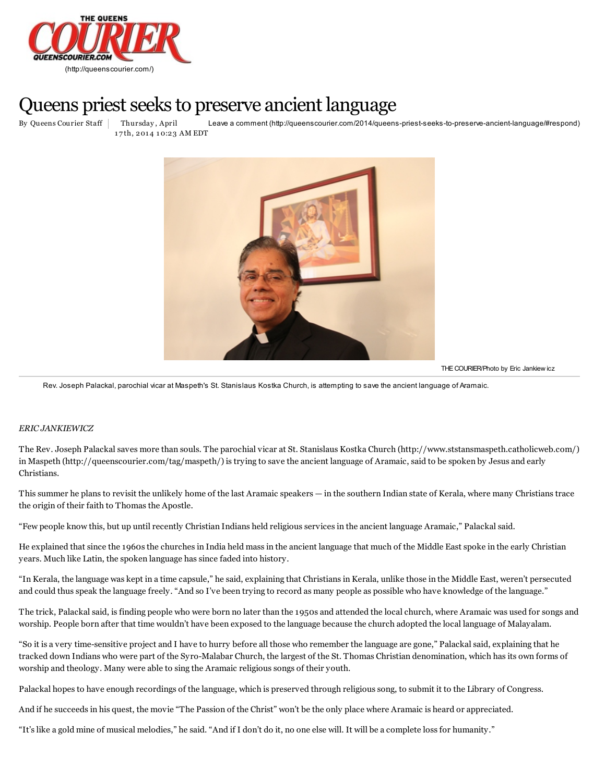

## Queens priest seeks to preserve ancient language

By Queens Courier Staff Thursday, April Leave a comment (http://queenscourier.com/2014/queens-priest-seeks-to-preserve-ancient-language/#respond) Thursday , April 17th, 2014 10:23 AM EDT



THE COURIER/Photo by Eric Jankiew icz

Rev. Joseph Palackal, parochial vicar at Maspeth's St. Stanislaus Kostka Church, is attempting to save the ancient language of Aramaic.

## *ERIC JANKIEWICZ*

The Rev. Joseph Palackal saves more than souls. The parochial vicar at St. Stanislaus Kostka Church [\(http://www.ststansmaspeth.catholicweb.com/\)](http://www.ststansmaspeth.catholicweb.com/) in Maspeth [\(http://queenscourier.com/tag/maspeth/\)](http://queenscourier.com/tag/maspeth/) is trying to save the ancient language of Aramaic, said to be spoken by Jesus and early Christians.

This summer he plans to revisit the unlikely home of the last Aramaic speakers — in the southern Indian state of Kerala, where many Christians trace the origin of their faith to Thomas the Apostle.

"Few people know this, but up until recently Christian Indians held religious services in the ancient language Aramaic," Palackal said.

He explained that since the 1960s the churches in India held mass in the ancient language that much of the Middle East spoke in the early Christian years. Much like Latin, the spoken language has since faded into history.

"In Kerala, the language was kept in a time capsule," he said, explaining that Christians in Kerala, unlike those in the Middle East, weren't persecuted and could thus speak the language freely. "And so I've been trying to record as many people as possible who have knowledge of the language."

The trick, Palackal said, is finding people who were born no later than the 1950s and attended the local church, where Aramaic was used for songs and worship. People born after that time wouldn't have been exposed to the language because the church adopted the local language of Malayalam.

"So it is a very time-sensitive project and I have to hurry before all those who remember the language are gone," Palackal said, explaining that he tracked down Indians who were part of the Syro-Malabar Church, the largest of the St. Thomas Christian denomination, which has its own forms of worship and theology. Many were able to sing the Aramaic religious songs of their youth.

Palackal hopes to have enough recordings of the language, which is preserved through religious song, to submit it to the Library of Congress.

And if he succeeds in his quest, the movie "The Passion of the Christ" won't be the only place where Aramaic is heard or appreciated.

"It's like a gold mine of musical melodies," he said. "And if I don't do it, no one else will. It will be a complete loss for humanity."